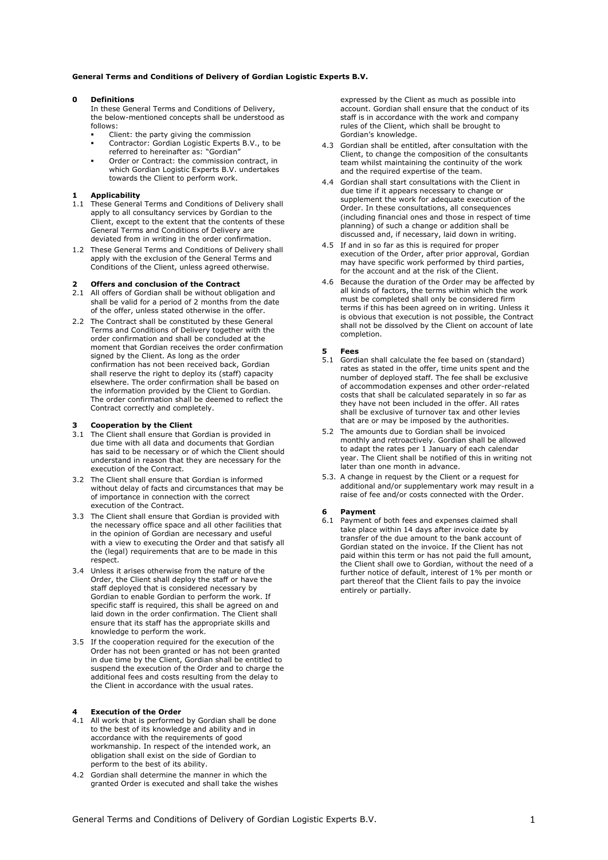## **General Terms and Conditions of Delivery of Gordian Logistic Experts B.V.**

### **0 Definitions**

In these General Terms and Conditions of Delivery, the below-mentioned concepts shall be understood as follows:

- Client: the party giving the commission
- Contractor: Gordian Logistic Experts B.V., to be referred to hereinafter as: "Gordian"
- Order or Contract: the commission contract, in which Gordian Logistic Experts B.V. undertakes towards the Client to perform work.

# **1 Applicability**

- 1.1 These General Terms and Conditions of Delivery shall apply to all consultancy services by Gordian to the Client, except to the extent that the contents of these General Terms and Conditions of Delivery are deviated from in writing in the order confirmation.
- 1.2 These General Terms and Conditions of Delivery shall apply with the exclusion of the General Terms and Conditions of the Client, unless agreed otherwise.

# **2 Offers and conclusion of the Contract**

- 2.1 All offers of Gordian shall be without obligation and shall be valid for a period of 2 months from the date of the offer, unless stated otherwise in the offer.
- 2.2 The Contract shall be constituted by these General Terms and Conditions of Delivery together with the order confirmation and shall be concluded at the moment that Gordian receives the order confirmation signed by the Client. As long as the order confirmation has not been received back, Gordian shall reserve the right to deploy its (staff) capacity elsewhere. The order confirmation shall be based on the information provided by the Client to Gordian. The order confirmation shall be deemed to reflect the Contract correctly and completely.

# **3 Cooperation by the Client**

- 3.1 The Client shall ensure that Gordian is provided in due time with all data and documents that Gordian has said to be necessary or of which the Client should understand in reason that they are necessary for the execution of the Contract.
- 3.2 The Client shall ensure that Gordian is informed without delay of facts and circumstances that may be of importance in connection with the correct execution of the Contract.
- 3.3 The Client shall ensure that Gordian is provided with the necessary office space and all other facilities that in the opinion of Gordian are necessary and useful with a view to executing the Order and that satisfy all the (legal) requirements that are to be made in this respect.
- 3.4 Unless it arises otherwise from the nature of the Order, the Client shall deploy the staff or have the staff deployed that is considered necessary by Gordian to enable Gordian to perform the work. If specific staff is required, this shall be agreed on and laid down in the order confirmation. The Client shall ensure that its staff has the appropriate skills and knowledge to perform the work.
- 3.5 If the cooperation required for the execution of the Order has not been granted or has not been granted in due time by the Client, Gordian shall be entitled to suspend the execution of the Order and to charge the additional fees and costs resulting from the delay to the Client in accordance with the usual rates.

## **4 Execution of the Order**

- 4.1 All work that is performed by Gordian shall be done to the best of its knowledge and ability and in accordance with the requirements of good workmanship. In respect of the intended work, an obligation shall exist on the side of Gordian to perform to the best of its ability.
- 4.2 Gordian shall determine the manner in which the granted Order is executed and shall take the wishes

expressed by the Client as much as possible into account. Gordian shall ensure that the conduct of its staff is in accordance with the work and company rules of the Client, which shall be brought to Gordian's knowledge.

- 4.3 Gordian shall be entitled, after consultation with the Client, to change the composition of the consultants team whilst maintaining the continuity of the work and the required expertise of the team.
- 4.4 Gordian shall start consultations with the Client in due time if it appears necessary to change or supplement the work for adequate execution of the Order. In these consultations, all consequences (including financial ones and those in respect of time planning) of such a change or addition shall be discussed and, if necessary, laid down in writing.
- 4.5 If and in so far as this is required for proper execution of the Order, after prior approval, Gordian may have specific work performed by third parties, for the account and at the risk of the Client.
- 4.6 Because the duration of the Order may be affected by all kinds of factors, the terms within which the work must be completed shall only be considered firm terms if this has been agreed on in writing. Unless it is obvious that execution is not possible, the Contract shall not be dissolved by the Client on account of late completion.

### **5 Fees**

- 5.1 Gordian shall calculate the fee based on (standard) rates as stated in the offer, time units spent and the number of deployed staff. The fee shall be exclusive of accommodation expenses and other order-related costs that shall be calculated separately in so far as they have not been included in the offer. All rates shall be exclusive of turnover tax and other levies that are or may be imposed by the authorities.
- 5.2 The amounts due to Gordian shall be invoiced monthly and retroactively. Gordian shall be allowed to adapt the rates per 1 January of each calendar year. The Client shall be notified of this in writing not later than one month in advance.
- 5.3. A change in request by the Client or a request for additional and/or supplementary work may result in a raise of fee and/or costs connected with the Order.

#### **6 Payment**

6.1 Payment of both fees and expenses claimed shall take place within 14 days after invoice date by transfer of the due amount to the bank account of Gordian stated on the invoice. If the Client has not paid within this term or has not paid the full amount, the Client shall owe to Gordian, without the need of a further notice of default, interest of 1% per month or part thereof that the Client fails to pay the invoice entirely or partially.